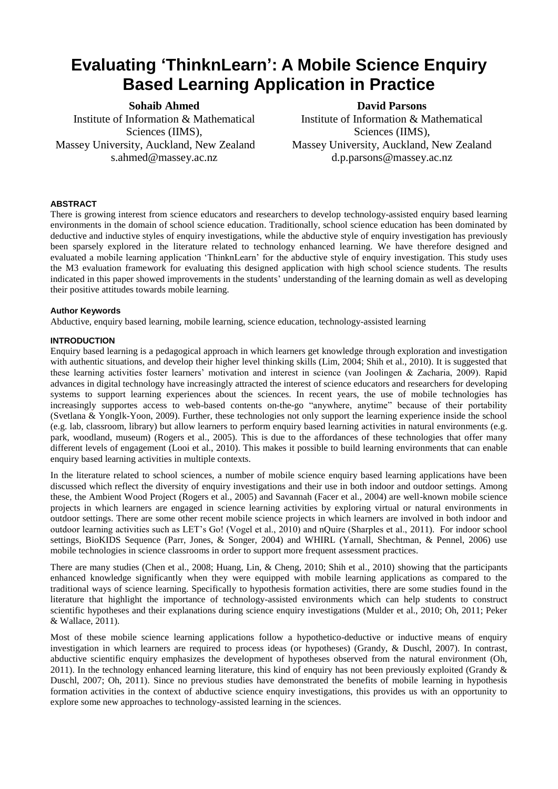# **Evaluating 'ThinknLearn': A Mobile Science Enquiry Based Learning Application in Practice**

**Sohaib Ahmed** Institute of Information & Mathematical Sciences (IIMS), Massey University, Auckland, New Zealand s.ahmed@massey.ac.nz

**David Parsons** Institute of Information & Mathematical Sciences (IIMS), Massey University, Auckland, New Zealand d.p.parsons@massey.ac.nz

# **ABSTRACT**

There is growing interest from science educators and researchers to develop technology-assisted enquiry based learning environments in the domain of school science education. Traditionally, school science education has been dominated by deductive and inductive styles of enquiry investigations, while the abductive style of enquiry investigation has previously been sparsely explored in the literature related to technology enhanced learning. We have therefore designed and evaluated a mobile learning application "ThinknLearn" for the abductive style of enquiry investigation. This study uses the M3 evaluation framework for evaluating this designed application with high school science students. The results indicated in this paper showed improvements in the students" understanding of the learning domain as well as developing their positive attitudes towards mobile learning.

# **Author Keywords**

Abductive, enquiry based learning, mobile learning, science education, technology-assisted learning

## **INTRODUCTION**

Enquiry based learning is a pedagogical approach in which learners get knowledge through exploration and investigation with authentic situations, and develop their higher level thinking skills (Lim, 2004; Shih et al., 2010). It is suggested that these learning activities foster learners" motivation and interest in science (van Joolingen & Zacharia, 2009). Rapid advances in digital technology have increasingly attracted the interest of science educators and researchers for developing systems to support learning experiences about the sciences. In recent years, the use of mobile technologies has increasingly supportes access to web-based contents on-the-go "anywhere, anytime" because of their portability (Svetlana & Yonglk-Yoon, 2009). Further, these technologies not only support the learning experience inside the school (e.g. lab, classroom, library) but allow learners to perform enquiry based learning activities in natural environments (e.g. park, woodland, museum) (Rogers et al., 2005). This is due to the affordances of these technologies that offer many different levels of engagement (Looi et al., 2010). This makes it possible to build learning environments that can enable enquiry based learning activities in multiple contexts.

In the literature related to school sciences, a number of mobile science enquiry based learning applications have been discussed which reflect the diversity of enquiry investigations and their use in both indoor and outdoor settings. Among these, the Ambient Wood Project (Rogers et al., 2005) and Savannah (Facer et al., 2004) are well-known mobile science projects in which learners are engaged in science learning activities by exploring virtual or natural environments in outdoor settings. There are some other recent mobile science projects in which learners are involved in both indoor and outdoor learning activities such as LET"s Go! (Vogel et al., 2010) and nQuire (Sharples et al., 2011). For indoor school settings, BioKIDS Sequence (Parr, Jones, & Songer, 2004) and WHIRL (Yarnall, Shechtman, & Pennel, 2006) use mobile technologies in science classrooms in order to support more frequent assessment practices.

There are many studies (Chen et al., 2008; Huang, Lin, & Cheng, 2010; Shih et al., 2010) showing that the participants enhanced knowledge significantly when they were equipped with mobile learning applications as compared to the traditional ways of science learning. Specifically to hypothesis formation activities, there are some studies found in the literature that highlight the importance of technology-assisted environments which can help students to construct scientific hypotheses and their explanations during science enquiry investigations (Mulder et al., 2010; Oh, 2011; Peker & Wallace, 2011).

Most of these mobile science learning applications follow a hypothetico-deductive or inductive means of enquiry investigation in which learners are required to process ideas (or hypotheses) (Grandy, & Duschl, 2007). In contrast, abductive scientific enquiry emphasizes the development of hypotheses observed from the natural environment (Oh, 2011). In the technology enhanced learning literature, this kind of enquiry has not been previously exploited (Grandy  $\&$ Duschl, 2007; Oh, 2011). Since no previous studies have demonstrated the benefits of mobile learning in hypothesis formation activities in the context of abductive science enquiry investigations, this provides us with an opportunity to explore some new approaches to technology-assisted learning in the sciences.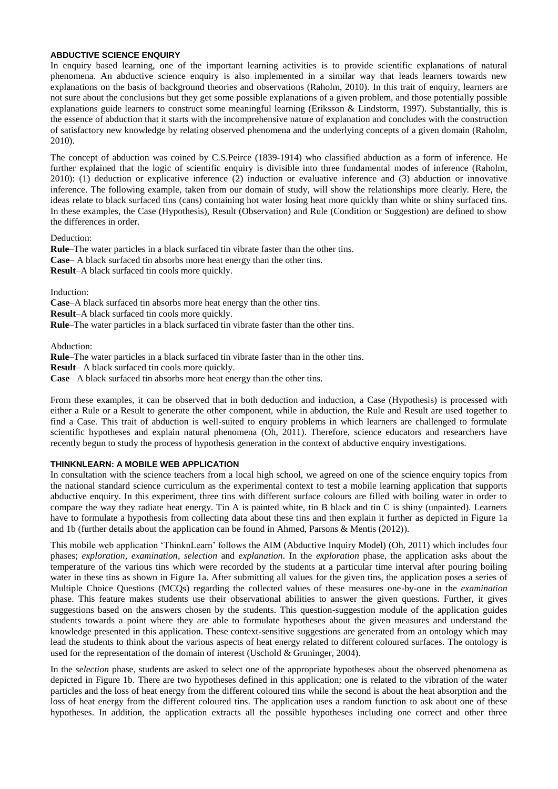## **ABDUCTIVE SCIENCE ENQUIRY**

In enquiry based learning, one of the important learning activities is to provide scientific explanations of natural phenomena. An abductive science enquiry is also implemented in a similar way that leads learners towards new explanations on the basis of background theories and observations (Raholm, 2010). In this trait of enquiry, learners are not sure about the conclusions but they get some possible explanations of a given problem, and those potentially possible explanations guide learners to construct some meaningful learning (Eriksson & Lindstorm, 1997). Substantially, this is the essence of abduction that it starts with the incomprehensive nature of explanation and concludes with the construction of satisfactory new knowledge by relating observed phenomena and the underlying concepts of a given domain (Raholm, 2010).

The concept of abduction was coined by C.S.Peirce (1839-1914) who classified abduction as a form of inference. He further explained that the logic of scientific enquiry is divisible into three fundamental modes of inference (Raholm, 2010): (1) deduction or explicative inference (2) induction or evaluative inference and (3) abduction or innovative inference. The following example, taken from our domain of study, will show the relationships more clearly. Here, the ideas relate to black surfaced tins (cans) containing hot water losing heat more quickly than white or shiny surfaced tins. In these examples, the Case (Hypothesis), Result (Observation) and Rule (Condition or Suggestion) are defined to show the differences in order.

Deduction:

**Rule**–The water particles in a black surfaced tin vibrate faster than the other tins. **Case**– A black surfaced tin absorbs more heat energy than the other tins. **Result**–A black surfaced tin cools more quickly.

Induction:

**Case**–A black surfaced tin absorbs more heat energy than the other tins. **Result**–A black surfaced tin cools more quickly.

**Rule**–The water particles in a black surfaced tin vibrate faster than the other tins.

Abduction:

**Rule**–The water particles in a black surfaced tin vibrate faster than in the other tins.

**Result**– A black surfaced tin cools more quickly.

**Case**– A black surfaced tin absorbs more heat energy than the other tins.

From these examples, it can be observed that in both deduction and induction, a Case (Hypothesis) is processed with either a Rule or a Result to generate the other component, while in abduction, the Rule and Result are used together to find a Case. This trait of abduction is well-suited to enquiry problems in which learners are challenged to formulate scientific hypotheses and explain natural phenomena (Oh, 2011). Therefore, science educators and researchers have recently begun to study the process of hypothesis generation in the context of abductive enquiry investigations.

# **THINKNLEARN: A MOBILE WEB APPLICATION**

In consultation with the science teachers from a local high school, we agreed on one of the science enquiry topics from the national standard science curriculum as the experimental context to test a mobile learning application that supports abductive enquiry. In this experiment, three tins with different surface colours are filled with boiling water in order to compare the way they radiate heat energy. Tin A is painted white, tin B black and tin C is shiny (unpainted). Learners have to formulate a hypothesis from collecting data about these tins and then explain it further as depicted in Figure 1a and 1b (further details about the application can be found in Ahmed, Parsons & Mentis (2012)).

This mobile web application "ThinknLearn" follows the AIM (Abductive Inquiry Model) (Oh, 2011) which includes four phases; *exploration*, *examination*, *selection* and *explanation*. In the *exploration* phase, the application asks about the temperature of the various tins which were recorded by the students at a particular time interval after pouring boiling water in these tins as shown in Figure 1a. After submitting all values for the given tins, the application poses a series of Multiple Choice Questions (MCQs) regarding the collected values of these measures one-by-one in the *examination* phase. This feature makes students use their observational abilities to answer the given questions. Further, it gives suggestions based on the answers chosen by the students. This question-suggestion module of the application guides students towards a point where they are able to formulate hypotheses about the given measures and understand the knowledge presented in this application. These context-sensitive suggestions are generated from an ontology which may lead the students to think about the various aspects of heat energy related to different coloured surfaces. The ontology is used for the representation of the domain of interest (Uschold & Gruninger, 2004).

In the *selection* phase, students are asked to select one of the appropriate hypotheses about the observed phenomena as depicted in Figure 1b. There are two hypotheses defined in this application; one is related to the vibration of the water particles and the loss of heat energy from the different coloured tins while the second is about the heat absorption and the loss of heat energy from the different coloured tins. The application uses a random function to ask about one of these hypotheses. In addition, the application extracts all the possible hypotheses including one correct and other three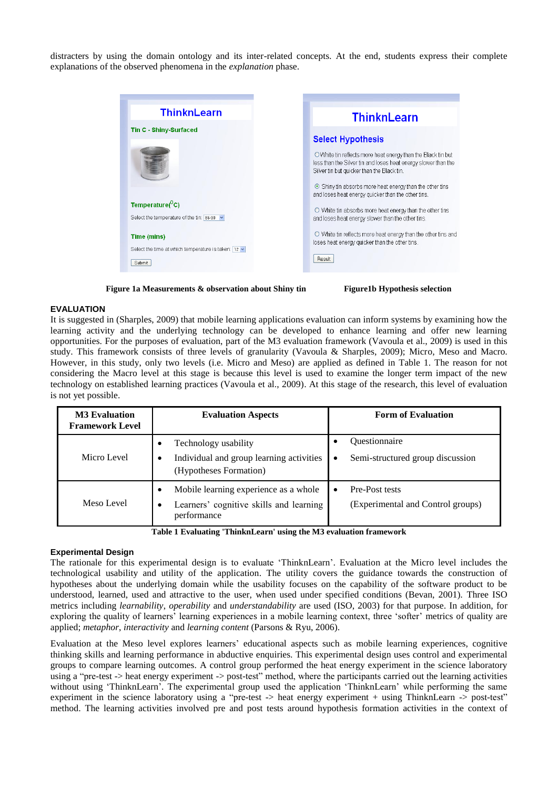distracters by using the domain ontology and its inter-related concepts. At the end, students express their complete explanations of the observed phenomena in the *explanation* phase.





#### **EVALUATION**

It is suggested in (Sharples, 2009) that mobile learning applications evaluation can inform systems by examining how the learning activity and the underlying technology can be developed to enhance learning and offer new learning opportunities. For the purposes of evaluation, part of the M3 evaluation framework (Vavoula et al., 2009) is used in this study. This framework consists of three levels of granularity (Vavoula & Sharples, 2009); Micro, Meso and Macro. However, in this study, only two levels (i.e. Micro and Meso) are applied as defined in Table 1. The reason for not considering the Macro level at this stage is because this level is used to examine the longer term impact of the new technology on established learning practices (Vavoula et al., 2009). At this stage of the research, this level of evaluation is not yet possible.

| <b>M3</b> Evaluation<br><b>Framework Level</b> | <b>Evaluation Aspects</b>                                                                       | <b>Form of Evaluation</b>                                |
|------------------------------------------------|-------------------------------------------------------------------------------------------------|----------------------------------------------------------|
| Micro Level                                    | Technology usability<br>Individual and group learning activities<br>(Hypotheses Formation)      | <b>Ouestionnaire</b><br>Semi-structured group discussion |
| Meso Level                                     | Mobile learning experience as a whole<br>Learners' cognitive skills and learning<br>performance | Pre-Post tests<br>(Experimental and Control groups)      |

**Table 1 Evaluating 'ThinknLearn' using the M3 evaluation framework**

#### **Experimental Design**

The rationale for this experimental design is to evaluate "ThinknLearn". Evaluation at the Micro level includes the technological usability and utility of the application. The utility covers the guidance towards the construction of hypotheses about the underlying domain while the usability focuses on the capability of the software product to be understood, learned, used and attractive to the user, when used under specified conditions (Bevan, 2001). Three ISO metrics including *learnability*, *operability* and *understandability* are used (ISO, 2003) for that purpose. In addition, for exploring the quality of learners" learning experiences in a mobile learning context, three "softer" metrics of quality are applied; *metaphor*, *interactivity* and *learning content* (Parsons & Ryu, 2006).

Evaluation at the Meso level explores learners" educational aspects such as mobile learning experiences, cognitive thinking skills and learning performance in abductive enquiries. This experimental design uses control and experimental groups to compare learning outcomes. A control group performed the heat energy experiment in the science laboratory using a "pre-test -> heat energy experiment -> post-test" method, where the participants carried out the learning activities without using 'ThinknLearn'. The experimental group used the application 'ThinknLearn' while performing the same experiment in the science laboratory using a "pre-test -> heat energy experiment + using ThinknLearn -> post-test" method. The learning activities involved pre and post tests around hypothesis formation activities in the context of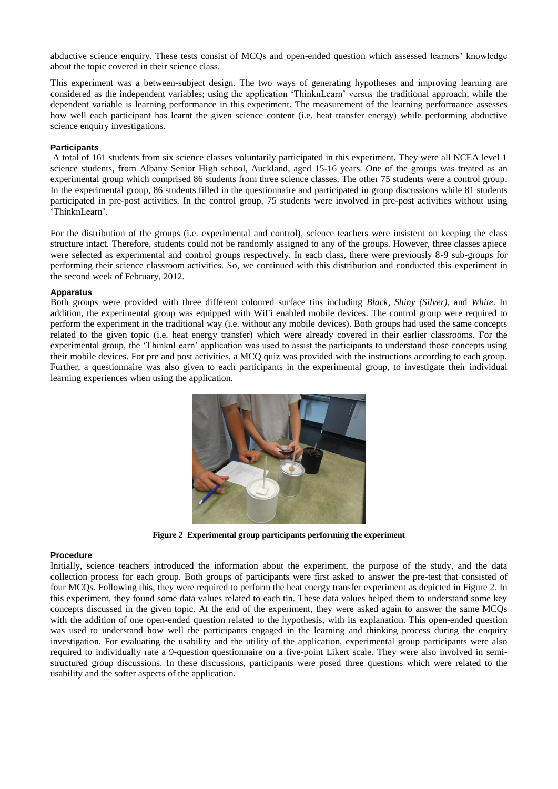abductive science enquiry. These tests consist of MCQs and open-ended question which assessed learners" knowledge about the topic covered in their science class.

This experiment was a between-subject design. The two ways of generating hypotheses and improving learning are considered as the independent variables; using the application "ThinknLearn" versus the traditional approach, while the dependent variable is learning performance in this experiment. The measurement of the learning performance assesses how well each participant has learnt the given science content (i.e. heat transfer energy) while performing abductive science enquiry investigations.

## **Participants**

A total of 161 students from six science classes voluntarily participated in this experiment. They were all NCEA level 1 science students, from Albany Senior High school, Auckland, aged 15-16 years. One of the groups was treated as an experimental group which comprised 86 students from three science classes. The other 75 students were a control group. In the experimental group, 86 students filled in the questionnaire and participated in group discussions while 81 students participated in pre-post activities. In the control group, 75 students were involved in pre-post activities without using "ThinknLearn".

For the distribution of the groups (i.e. experimental and control), science teachers were insistent on keeping the class structure intact. Therefore, students could not be randomly assigned to any of the groups. However, three classes apiece were selected as experimental and control groups respectively. In each class, there were previously 8-9 sub-groups for performing their science classroom activities. So, we continued with this distribution and conducted this experiment in the second week of February, 2012.

#### **Apparatus**

Both groups were provided with three different coloured surface tins including *Black*, *Shiny (Silver)*, and *White*. In addition, the experimental group was equipped with WiFi enabled mobile devices. The control group were required to perform the experiment in the traditional way (i.e. without any mobile devices). Both groups had used the same concepts related to the given topic (i.e. heat energy transfer) which were already covered in their earlier classrooms. For the experimental group, the "ThinknLearn" application was used to assist the participants to understand those concepts using their mobile devices. For pre and post activities, a MCQ quiz was provided with the instructions according to each group. Further, a questionnaire was also given to each participants in the experimental group, to investigate their individual learning experiences when using the application.



**Figure 2 Experimental group participants performing the experiment**

#### **Procedure**

Initially, science teachers introduced the information about the experiment, the purpose of the study, and the data collection process for each group. Both groups of participants were first asked to answer the pre-test that consisted of four MCQs. Following this, they were required to perform the heat energy transfer experiment as depicted in Figure 2. In this experiment, they found some data values related to each tin. These data values helped them to understand some key concepts discussed in the given topic. At the end of the experiment, they were asked again to answer the same MCQs with the addition of one open-ended question related to the hypothesis, with its explanation. This open-ended question was used to understand how well the participants engaged in the learning and thinking process during the enquiry investigation. For evaluating the usability and the utility of the application, experimental group participants were also required to individually rate a 9-question questionnaire on a five-point Likert scale. They were also involved in semistructured group discussions. In these discussions, participants were posed three questions which were related to the usability and the softer aspects of the application.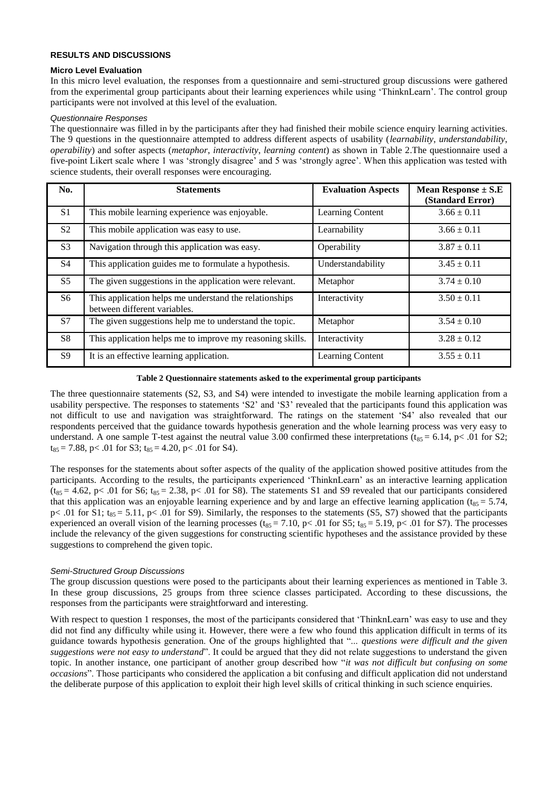## **RESULTS AND DISCUSSIONS**

#### **Micro Level Evaluation**

In this micro level evaluation, the responses from a questionnaire and semi-structured group discussions were gathered from the experimental group participants about their learning experiences while using "ThinknLearn". The control group participants were not involved at this level of the evaluation.

## *Questionnaire Responses*

The questionnaire was filled in by the participants after they had finished their mobile science enquiry learning activities. The 9 questions in the questionnaire attempted to address different aspects of usability (*learnability*, *understandability*, *operability*) and softer aspects (*metaphor*, *interactivity*, *learning content*) as shown in Table 2.The questionnaire used a five-point Likert scale where 1 was "strongly disagree" and 5 was "strongly agree". When this application was tested with science students, their overall responses were encouraging.

| No.            | <b>Statements</b>                                                                      | <b>Evaluation Aspects</b> | <b>Mean Response</b> $\pm$ <b>S.E</b><br>(Standard Error) |
|----------------|----------------------------------------------------------------------------------------|---------------------------|-----------------------------------------------------------|
| S <sub>1</sub> | This mobile learning experience was enjoyable.                                         | Learning Content          | $3.66 \pm 0.11$                                           |
| S <sub>2</sub> | This mobile application was easy to use.                                               | Learnability              | $3.66 \pm 0.11$                                           |
| S <sub>3</sub> | Navigation through this application was easy.                                          | Operability               | $3.87 \pm 0.11$                                           |
| <b>S</b> 4     | This application guides me to formulate a hypothesis.                                  | Understandability         | $3.45 \pm 0.11$                                           |
| S <sub>5</sub> | The given suggestions in the application were relevant.                                | Metaphor                  | $3.74 \pm 0.10$                                           |
| S <sub>6</sub> | This application helps me understand the relationships<br>between different variables. | Interactivity             | $3.50 \pm 0.11$                                           |
| S7             | The given suggestions help me to understand the topic.                                 | Metaphor                  | $3.54 \pm 0.10$                                           |
| S8             | This application helps me to improve my reasoning skills.                              | Interactivity             | $3.28 \pm 0.12$                                           |
| <b>S9</b>      | It is an effective learning application.                                               | Learning Content          | $3.55 \pm 0.11$                                           |

#### **Table 2 Questionnaire statements asked to the experimental group participants**

The three questionnaire statements (S2, S3, and S4) were intended to investigate the mobile learning application from a usability perspective. The responses to statements "S2" and "S3" revealed that the participants found this application was not difficult to use and navigation was straightforward. The ratings on the statement "S4" also revealed that our respondents perceived that the guidance towards hypothesis generation and the whole learning process was very easy to understand. A one sample T-test against the neutral value 3.00 confirmed these interpretations ( $t_{85} = 6.14$ ,  $p < .01$  for S2;  $t_{85} = 7.88$ , p< .01 for S3;  $t_{85} = 4.20$ , p< .01 for S4).

The responses for the statements about softer aspects of the quality of the application showed positive attitudes from the participants. According to the results, the participants experienced "ThinknLearn" as an interactive learning application  $(t_{85} = 4.62, p < .01$  for S6;  $t_{85} = 2.38, p < .01$  for S8). The statements S1 and S9 revealed that our participants considered that this application was an enjoyable learning experience and by and large an effective learning application ( $t_{85} = 5.74$ , p< .01 for S1;  $t_{85} = 5.11$ , p< .01 for S9). Similarly, the responses to the statements (S5, S7) showed that the participants experienced an overall vision of the learning processes ( $t_{85} = 7.10$ , p< .01 for S5;  $t_{85} = 5.19$ , p< .01 for S7). The processes include the relevancy of the given suggestions for constructing scientific hypotheses and the assistance provided by these suggestions to comprehend the given topic.

# *Semi-Structured Group Discussions*

The group discussion questions were posed to the participants about their learning experiences as mentioned in Table 3. In these group discussions, 25 groups from three science classes participated. According to these discussions, the responses from the participants were straightforward and interesting.

With respect to question 1 responses, the most of the participants considered that 'ThinknLearn' was easy to use and they did not find any difficulty while using it. However, there were a few who found this application difficult in terms of its guidance towards hypothesis generation. One of the groups highlighted that "... *questions were difficult and the given suggestions were not easy to understand*". It could be argued that they did not relate suggestions to understand the given topic. In another instance, one participant of another group described how "*it was not difficult but confusing on some occasions*". Those participants who considered the application a bit confusing and difficult application did not understand the deliberate purpose of this application to exploit their high level skills of critical thinking in such science enquiries.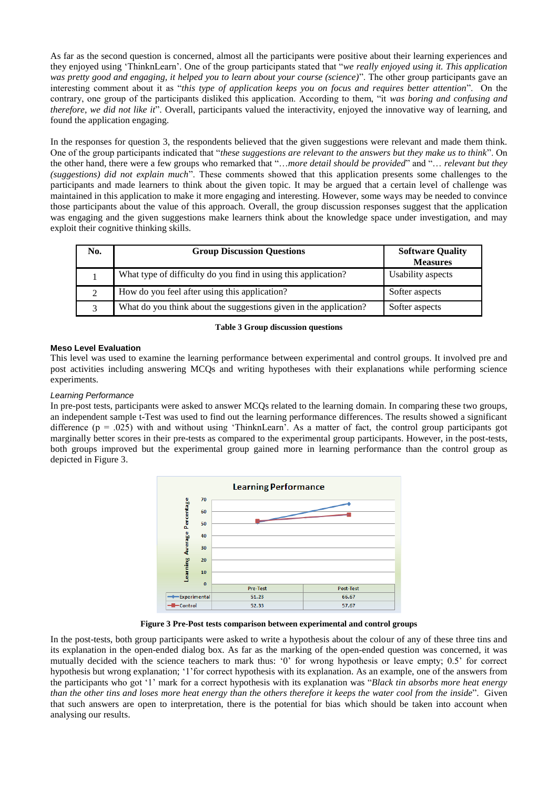As far as the second question is concerned, almost all the participants were positive about their learning experiences and they enjoyed using "ThinknLearn". One of the group participants stated that "*we really enjoyed using it. This application was pretty good and engaging, it helped you to learn about your course (science)*". The other group participants gave an interesting comment about it as "*this type of application keeps you on focus and requires better attention*". On the contrary, one group of the participants disliked this application. According to them, "it *was boring and confusing and therefore, we did not like it*". Overall, participants valued the interactivity, enjoyed the innovative way of learning, and found the application engaging.

In the responses for question 3, the respondents believed that the given suggestions were relevant and made them think. One of the group participants indicated that "*these suggestions are relevant to the answers but they make us to think*". On the other hand, there were a few groups who remarked that "…*more detail should be provided*" and "… *relevant but they (suggestions) did not explain much*". These comments showed that this application presents some challenges to the participants and made learners to think about the given topic. It may be argued that a certain level of challenge was maintained in this application to make it more engaging and interesting. However, some ways may be needed to convince those participants about the value of this approach. Overall, the group discussion responses suggest that the application was engaging and the given suggestions make learners think about the knowledge space under investigation, and may exploit their cognitive thinking skills.

| No. | <b>Group Discussion Questions</b>                                 | <b>Software Quality</b><br><b>Measures</b> |
|-----|-------------------------------------------------------------------|--------------------------------------------|
|     | What type of difficulty do you find in using this application?    | Usability aspects                          |
|     | How do you feel after using this application?                     | Softer aspects                             |
|     | What do you think about the suggestions given in the application? | Softer aspects                             |

#### **Table 3 Group discussion questions**

## **Meso Level Evaluation**

This level was used to examine the learning performance between experimental and control groups. It involved pre and post activities including answering MCQs and writing hypotheses with their explanations while performing science experiments.

## *Learning Performance*

In pre-post tests, participants were asked to answer MCQs related to the learning domain. In comparing these two groups, an independent sample t-Test was used to find out the learning performance differences. The results showed a significant difference  $(p = .025)$  with and without using 'ThinknLearn'. As a matter of fact, the control group participants got marginally better scores in their pre-tests as compared to the experimental group participants. However, in the post-tests, both groups improved but the experimental group gained more in learning performance than the control group as depicted in Figure 3.



**Figure 3 Pre-Post tests comparison between experimental and control groups**

In the post-tests, both group participants were asked to write a hypothesis about the colour of any of these three tins and its explanation in the open-ended dialog box. As far as the marking of the open-ended question was concerned, it was mutually decided with the science teachers to mark thus: '0' for wrong hypothesis or leave empty; 0.5' for correct hypothesis but wrong explanation; "1"for correct hypothesis with its explanation. As an example, one of the answers from the participants who got "1" mark for a correct hypothesis with its explanation was "*Black tin absorbs more heat energy than the other tins and loses more heat energy than the others therefore it keeps the water cool from the inside*". Given that such answers are open to interpretation, there is the potential for bias which should be taken into account when analysing our results.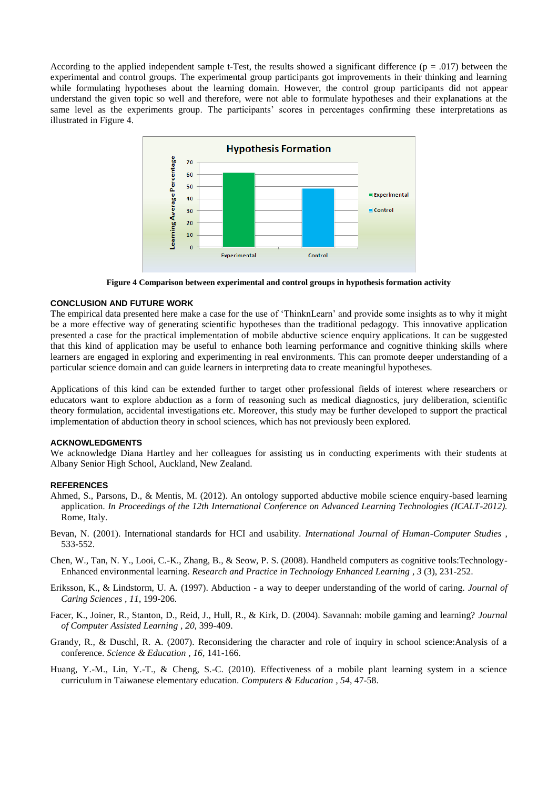According to the applied independent sample t-Test, the results showed a significant difference ( $p = .017$ ) between the experimental and control groups. The experimental group participants got improvements in their thinking and learning while formulating hypotheses about the learning domain. However, the control group participants did not appear understand the given topic so well and therefore, were not able to formulate hypotheses and their explanations at the same level as the experiments group. The participants' scores in percentages confirming these interpretations as illustrated in Figure 4.



**Figure 4 Comparison between experimental and control groups in hypothesis formation activity**

# **CONCLUSION AND FUTURE WORK**

The empirical data presented here make a case for the use of "ThinknLearn" and provide some insights as to why it might be a more effective way of generating scientific hypotheses than the traditional pedagogy. This innovative application presented a case for the practical implementation of mobile abductive science enquiry applications. It can be suggested that this kind of application may be useful to enhance both learning performance and cognitive thinking skills where learners are engaged in exploring and experimenting in real environments. This can promote deeper understanding of a particular science domain and can guide learners in interpreting data to create meaningful hypotheses.

Applications of this kind can be extended further to target other professional fields of interest where researchers or educators want to explore abduction as a form of reasoning such as medical diagnostics, jury deliberation, scientific theory formulation, accidental investigations etc. Moreover, this study may be further developed to support the practical implementation of abduction theory in school sciences, which has not previously been explored.

#### **ACKNOWLEDGMENTS**

We acknowledge Diana Hartley and her colleagues for assisting us in conducting experiments with their students at Albany Senior High School, Auckland, New Zealand.

#### **REFERENCES**

- Ahmed, S., Parsons, D., & Mentis, M. (2012). An ontology supported abductive mobile science enquiry-based learning application. *In Proceedings of the 12th International Conference on Advanced Learning Technologies (ICALT-2012).* Rome, Italy.
- Bevan, N. (2001). International standards for HCI and usability. *International Journal of Human-Computer Studies* , 533-552.
- Chen, W., Tan, N. Y., Looi, C.-K., Zhang, B., & Seow, P. S. (2008). Handheld computers as cognitive tools:Technology-Enhanced environmental learning. *Research and Practice in Technology Enhanced Learning , 3* (3), 231-252.
- Eriksson, K., & Lindstorm, U. A. (1997). Abduction a way to deeper understanding of the world of caring. *Journal of Caring Sciences , 11*, 199-206.
- Facer, K., Joiner, R., Stanton, D., Reid, J., Hull, R., & Kirk, D. (2004). Savannah: mobile gaming and learning? *Journal of Computer Assisted Learning , 20*, 399-409.
- Grandy, R., & Duschl, R. A. (2007). Reconsidering the character and role of inquiry in school science:Analysis of a conference. *Science & Education , 16*, 141-166.
- Huang, Y.-M., Lin, Y.-T., & Cheng, S.-C. (2010). Effectiveness of a mobile plant learning system in a science curriculum in Taiwanese elementary education. *Computers & Education , 54*, 47-58.